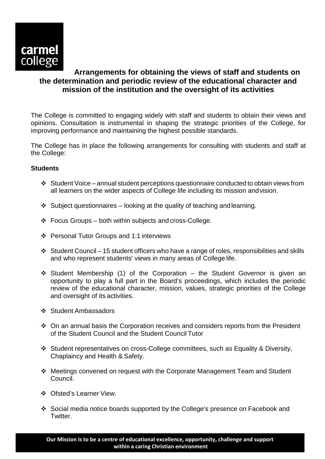

## **Arrangements for obtaining the views of staff and students on the determination and periodic review of the educational character and mission of the institution and the oversight of its activities**

The College is committed to engaging widely with staff and students to obtain their views and opinions. Consultation is instrumental in shaping the strategic priorities of the College, for improving performance and maintaining the highest possible standards.

The College has in place the following arrangements for consulting with students and staff at the College:

## **Students**

- $\cdot$  Student Voice annual student perceptions questionnaire conducted to obtain views from all learners on the wider aspects of College life including its mission andvision.
- $\div$  Subject questionnaires looking at the quality of teaching and learning.
- $\div$  Focus Groups both within subjects and cross-College.
- Personal Tutor Groups and 1:1 interviews
- $\div$  Student Council 15 student officers who have a range of roles, responsibilities and skills and who represent students' views in many areas of College life.
- $\div$  Student Membership (1) of the Corporation the Student Governor is given an opportunity to play a full part in the Board's proceedings, which includes the periodic review of the educational character, mission, values, strategic priorities of the College and oversight of its activities.
- ❖ Student Ambassadors
- On an annual basis the Corporation receives and considers reports from the President of the Student Council and the Student Council Tutor
- Student representatives on cross-College committees, such as Equality & Diversity, Chaplaincy and Health & Safety.
- Meetings convened on request with the Corporate Management Team and Student Council.
- Ofsted's Learner View.
- Social media notice boards supported by the College's presence on Facebook and Twitter.